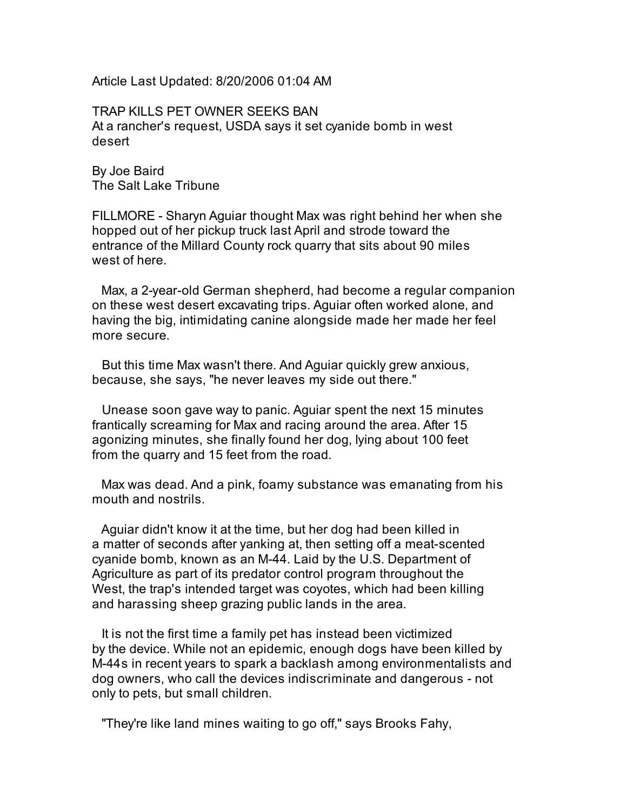Article Last Updated: 8/20/2006 01:04 AM

TRAP KILLS PET OWNER SEEKS BAN At a rancher's request, USDA says it set cyanide bomb in west desert

By Joe Baird The Salt Lake Tribune

FILLMORE - Sharyn Aguiar thought Max was right behind her when she hopped out of her pickup truck last April and strode toward the entrance of the Millard County rock quarry that sits about 90 miles west of here.

Max, a 2-year-old German shepherd, had become a regular companion on these west desert excavating trips. Aguiar often worked alone, and having the big, intimidating canine alongside made her made her feel more secure.

But this time Max wasn't there. And Aguiar quickly grew anxious, because, she says, "he never leaves my side out there."

Unease soon gave way to panic. Aguiar spent the next 15 minutes frantically screaming for Max and racing around the area. After 15 agonizing minutes, she finally found her dog, lying about 100 feet from the quarry and 15 feet from the road.

Max was dead. And a pink, foamy substance was emanating from his mouth and nostrils.

Aguiar didn't know it at the time, but her dog had been killed in a matter of seconds after yanking at, then setting off a meat-scented cyanide bomb, known as an M-44. Laid by the U.S. Department of Agriculture as part of its predator control program throughout the West, the trap's intended target was coyotes, which had been killing and harassing sheep grazing public lands in the area.

It is not the first time a family pet has instead been victimized by the device. While not an epidemic, enough dogs have been killed by M-44s in recent years to spark a backlash among environmentalists and dog owners, who call the devices indiscriminate and dangerous - not only to pets, but small children.

"They're like land mines waiting to go off," says Brooks Fahy,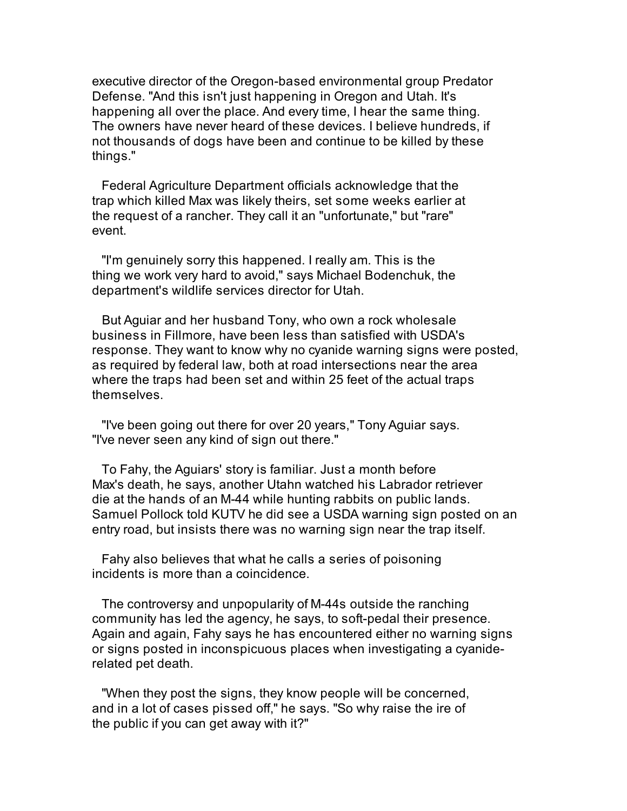executive director of the Oregon-based environmental group Predator Defense. "And this isn't just happening in Oregon and Utah. It's happening all over the place. And every time, I hear the same thing. The owners have never heard of these devices. I believe hundreds, if not thousands of dogs have been and continue to be killed by these things."

Federal Agriculture Department officials acknowledge that the trap which killed Max was likely theirs, set some weeks earlier at the request of a rancher. They call it an "unfortunate," but "rare" event.

"I'm genuinely sorry this happened. I really am. This is the thing we work very hard to avoid," says Michael Bodenchuk, the department's wildlife services director for Utah.

But Aguiar and her husband Tony, who own a rock wholesale business in Fillmore, have been less than satisfied with USDA's response. They want to know why no cyanide warning signs were posted, as required by federal law, both at road intersections near the area where the traps had been set and within 25 feet of the actual traps themselves.

"I've been going out there for over 20 years," Tony Aguiar says. "I've never seen any kind of sign out there."

To Fahy, the Aguiars' story is familiar. Just a month before Max's death, he says, another Utahn watched his Labrador retriever die at the hands of an M-44 while hunting rabbits on public lands. Samuel Pollock told KUTV he did see a USDA warning sign posted on an entry road, but insists there was no warning sign near the trap itself.

Fahy also believes that what he calls a series of poisoning incidents is more than a coincidence.

The controversy and unpopularity of M-44s outside the ranching community has led the agency, he says, to soft-pedal their presence. Again and again, Fahy says he has encountered either no warning signs or signs posted in inconspicuous places when investigating a cyaniderelated pet death.

"When they post the signs, they know people will be concerned, and in a lot of cases pissed off," he says. "So why raise the ire of the public if you can get away with it?"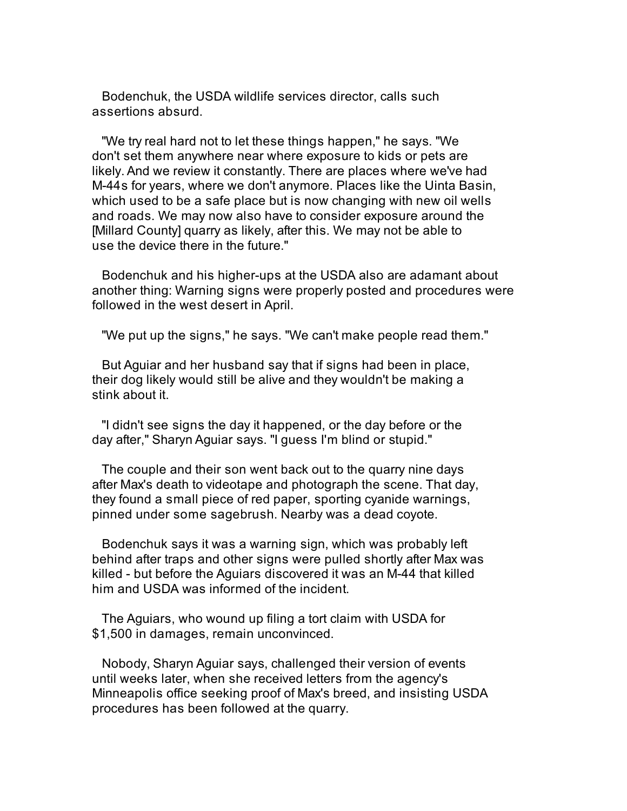Bodenchuk, the USDA wildlife services director, calls such assertions absurd.

"We try real hard not to let these things happen," he says. "We don't set them anywhere near where exposure to kids or pets are likely. And we review it constantly. There are places where we've had M-44s for years, where we don't anymore. Places like the Uinta Basin, which used to be a safe place but is now changing with new oil wells and roads. We may now also have to consider exposure around the [Millard County] quarry as likely, after this. We may not be able to use the device there in the future."

Bodenchuk and his higher-ups at the USDA also are adamant about another thing: Warning signs were properly posted and procedures were followed in the west desert in April.

"We put up the signs," he says. "We can't make people read them."

But Aguiar and her husband say that if signs had been in place, their dog likely would still be alive and they wouldn't be making a stink about it.

"I didn't see signs the day it happened, or the day before or the day after," Sharyn Aguiar says. "I guess I'm blind or stupid."

The couple and their son went back out to the quarry nine days after Max's death to videotape and photograph the scene. That day, they found a small piece of red paper, sporting cyanide warnings, pinned under some sagebrush. Nearby was a dead coyote.

Bodenchuk says it was a warning sign, which was probably left behind after traps and other signs were pulled shortly after Max was killed - but before the Aguiars discovered it was an M-44 that killed him and USDA was informed of the incident.

The Aguiars, who wound up filing a tort claim with USDA for \$1,500 in damages, remain unconvinced.

Nobody, Sharyn Aguiar says, challenged their version of events until weeks later, when she received letters from the agency's Minneapolis office seeking proof of Max's breed, and insisting USDA procedures has been followed at the quarry.